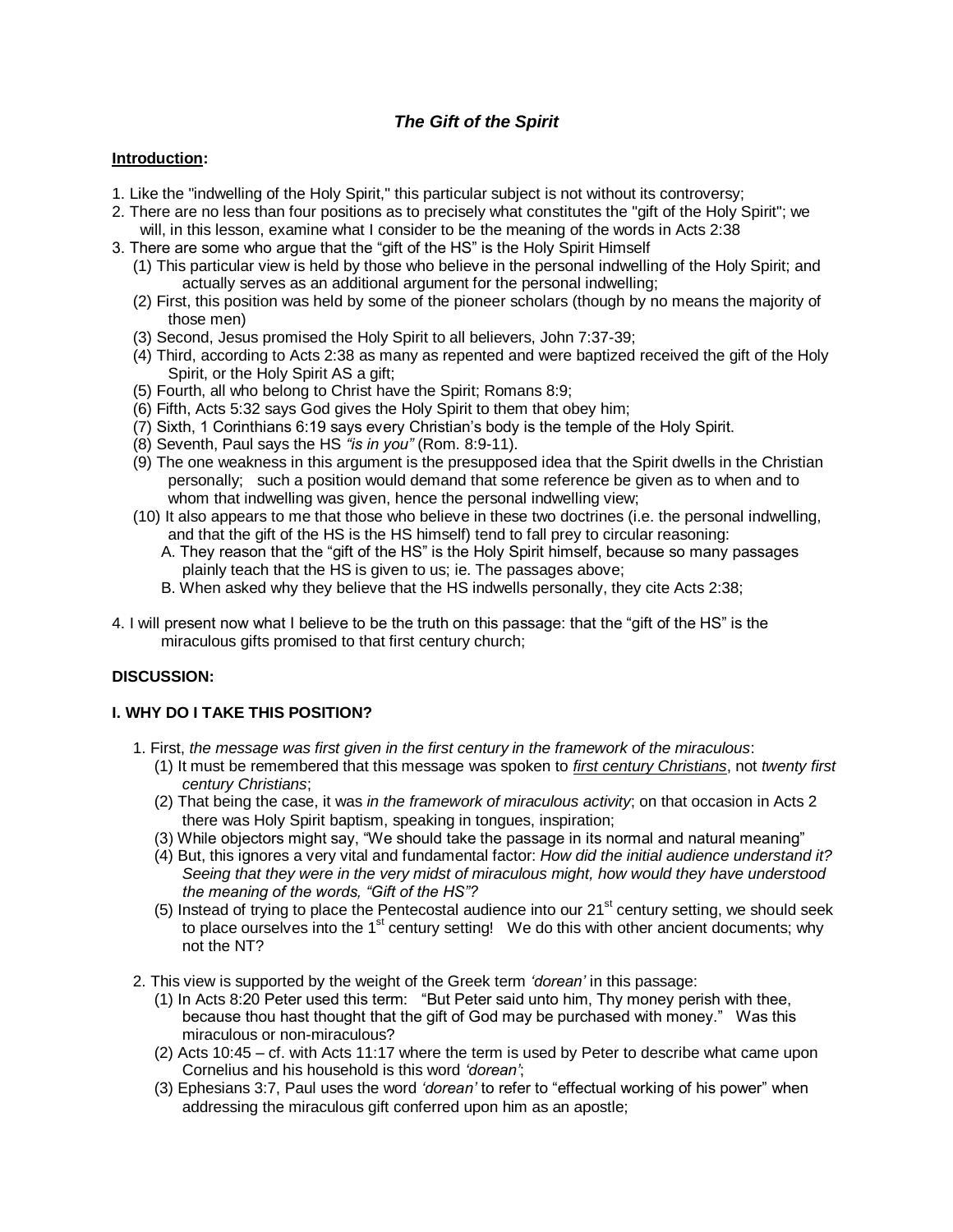# *The Gift of the Spirit*

### **Introduction:**

- 1. Like the "indwelling of the Holy Spirit," this particular subject is not without its controversy;
- 2. There are no less than four positions as to precisely what constitutes the "gift of the Holy Spirit"; we will, in this lesson, examine what I consider to be the meaning of the words in Acts 2:38
- 3. There are some who argue that the "gift of the HS" is the Holy Spirit Himself
	- (1) This particular view is held by those who believe in the personal indwelling of the Holy Spirit; and actually serves as an additional argument for the personal indwelling;
	- (2) First, this position was held by some of the pioneer scholars (though by no means the majority of those men)
	- (3) Second, Jesus promised the Holy Spirit to all believers, John 7:37-39;
	- (4) Third, according to Acts 2:38 as many as repented and were baptized received the gift of the Holy Spirit, or the Holy Spirit AS a gift;
	- (5) Fourth, all who belong to Christ have the Spirit; Romans 8:9;
	- (6) Fifth, Acts 5:32 says God gives the Holy Spirit to them that obey him;
	- (7) Sixth, 1 Corinthians 6:19 says every Christian's body is the temple of the Holy Spirit.
	- (8) Seventh, Paul says the HS *"is in you"* (Rom. 8:9-11).
	- (9) The one weakness in this argument is the presupposed idea that the Spirit dwells in the Christian personally; such a position would demand that some reference be given as to when and to whom that indwelling was given, hence the personal indwelling view;
	- (10) It also appears to me that those who believe in these two doctrines (i.e. the personal indwelling, and that the gift of the HS is the HS himself) tend to fall prey to circular reasoning:
		- A. They reason that the "gift of the HS" is the Holy Spirit himself, because so many passages plainly teach that the HS is given to us; ie. The passages above;
		- B. When asked why they believe that the HS indwells personally, they cite Acts 2:38;
- 4. I will present now what I believe to be the truth on this passage: that the "gift of the HS" is the miraculous gifts promised to that first century church;

# **DISCUSSION:**

# **I. WHY DO I TAKE THIS POSITION?**

- 1. First, *the message was first given in the first century in the framework of the miraculous*:
	- (1) It must be remembered that this message was spoken to *first century Christians*, not *twenty first century Christians*;
	- (2) That being the case, it was *in the framework of miraculous activity*; on that occasion in Acts 2 there was Holy Spirit baptism, speaking in tongues, inspiration;
	- (3) While objectors might say, "We should take the passage in its normal and natural meaning"
	- (4) But, this ignores a very vital and fundamental factor: *How did the initial audience understand it? Seeing that they were in the very midst of miraculous might, how would they have understood the meaning of the words, "Gift of the HS"?*
	- (5) Instead of trying to place the Pentecostal audience into our  $21<sup>st</sup>$  century setting, we should seek to place ourselves into the 1<sup>st</sup> century setting! We do this with other ancient documents; why not the NT?
- 2. This view is supported by the weight of the Greek term *'dorean'* in this passage:
	- (1) In Acts 8:20 Peter used this term: "But Peter said unto him, Thy money perish with thee, because thou hast thought that the gift of God may be purchased with money." Was this miraculous or non-miraculous?
	- (2) Acts 10:45 cf. with Acts 11:17 where the term is used by Peter to describe what came upon Cornelius and his household is this word *'dorean'*;
	- (3) Ephesians 3:7, Paul uses the word *'dorean'* to refer to "effectual working of his power" when addressing the miraculous gift conferred upon him as an apostle;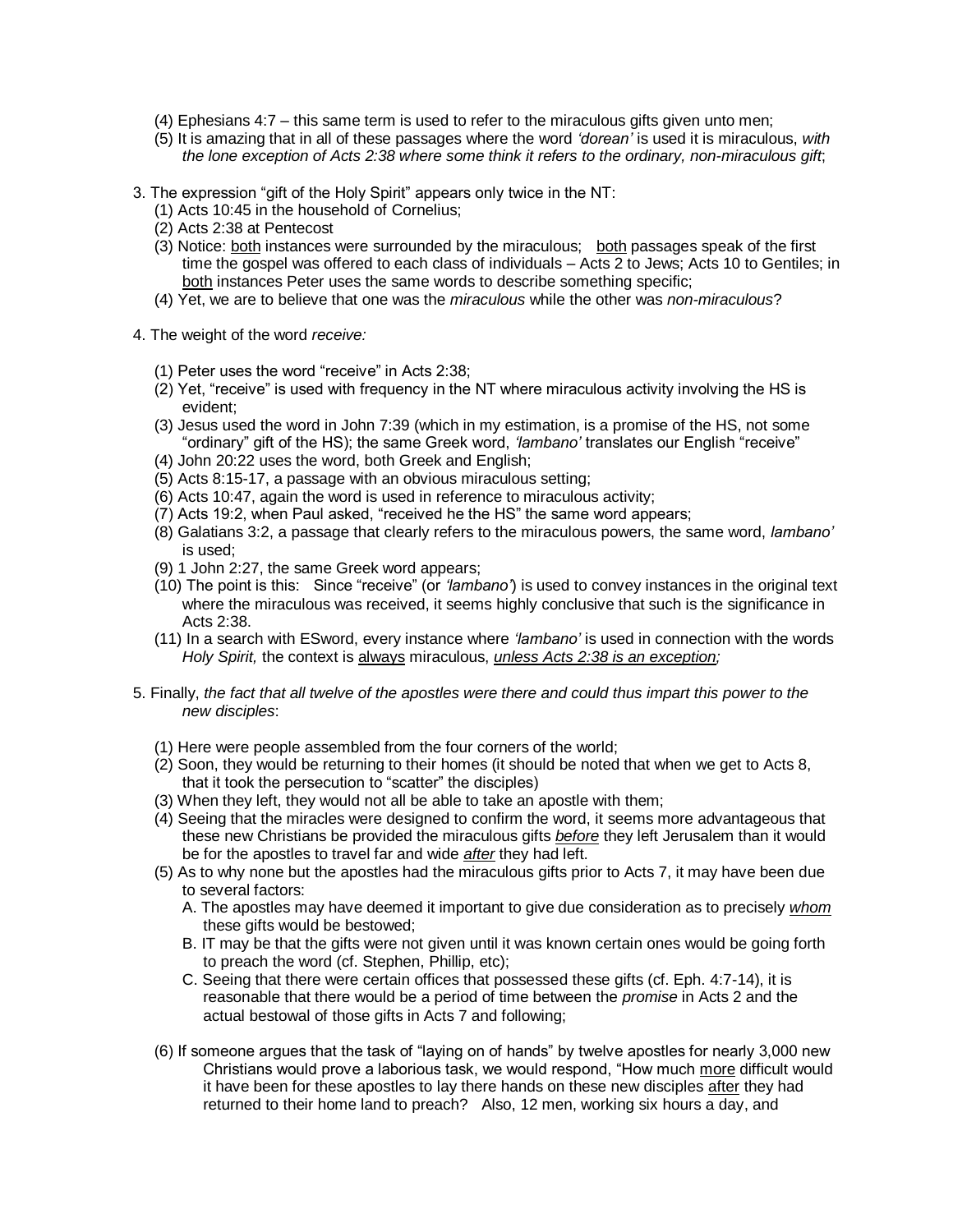- (4) Ephesians 4:7 this same term is used to refer to the miraculous gifts given unto men;
- (5) It is amazing that in all of these passages where the word *'dorean'* is used it is miraculous, *with the lone exception of Acts 2:38 where some think it refers to the ordinary, non-miraculous gift*;
- 3. The expression "gift of the Holy Spirit" appears only twice in the NT:
	- (1) Acts 10:45 in the household of Cornelius;
	- (2) Acts 2:38 at Pentecost
	- (3) Notice: both instances were surrounded by the miraculous; both passages speak of the first time the gospel was offered to each class of individuals – Acts 2 to Jews; Acts 10 to Gentiles; in both instances Peter uses the same words to describe something specific;
	- (4) Yet, we are to believe that one was the *miraculous* while the other was *non-miraculous*?
- 4. The weight of the word *receive:*
	- (1) Peter uses the word "receive" in Acts 2:38;
	- (2) Yet, "receive" is used with frequency in the NT where miraculous activity involving the HS is evident;
	- (3) Jesus used the word in John 7:39 (which in my estimation, is a promise of the HS, not some "ordinary" gift of the HS); the same Greek word, *'lambano'* translates our English "receive"
	- (4) John 20:22 uses the word, both Greek and English;
	- (5) Acts 8:15-17, a passage with an obvious miraculous setting;
	- (6) Acts 10:47, again the word is used in reference to miraculous activity;
	- (7) Acts 19:2, when Paul asked, "received he the HS" the same word appears;
	- (8) Galatians 3:2, a passage that clearly refers to the miraculous powers, the same word, *lambano'* is used;
	- (9) 1 John 2:27, the same Greek word appears;
	- (10) The point is this: Since "receive" (or *'lambano'*) is used to convey instances in the original text where the miraculous was received, it seems highly conclusive that such is the significance in Acts 2:38.
	- (11) In a search with ESword, every instance where *'lambano'* is used in connection with the words *Holy Spirit,* the context is always miraculous, *unless Acts 2:38 is an exception;*
- 5. Finally, *the fact that all twelve of the apostles were there and could thus impart this power to the new disciples*:
	- (1) Here were people assembled from the four corners of the world;
	- (2) Soon, they would be returning to their homes (it should be noted that when we get to Acts 8, that it took the persecution to "scatter" the disciples)
	- (3) When they left, they would not all be able to take an apostle with them;
	- (4) Seeing that the miracles were designed to confirm the word, it seems more advantageous that these new Christians be provided the miraculous gifts *before* they left Jerusalem than it would be for the apostles to travel far and wide *after* they had left.
	- (5) As to why none but the apostles had the miraculous gifts prior to Acts 7, it may have been due to several factors:
		- A. The apostles may have deemed it important to give due consideration as to precisely *whom* these gifts would be bestowed;
		- B. IT may be that the gifts were not given until it was known certain ones would be going forth to preach the word (cf. Stephen, Phillip, etc);
		- C. Seeing that there were certain offices that possessed these gifts (cf. Eph. 4:7-14), it is reasonable that there would be a period of time between the *promise* in Acts 2 and the actual bestowal of those gifts in Acts 7 and following;
	- (6) If someone argues that the task of "laying on of hands" by twelve apostles for nearly 3,000 new Christians would prove a laborious task, we would respond, "How much more difficult would it have been for these apostles to lay there hands on these new disciples after they had returned to their home land to preach? Also, 12 men, working six hours a day, and